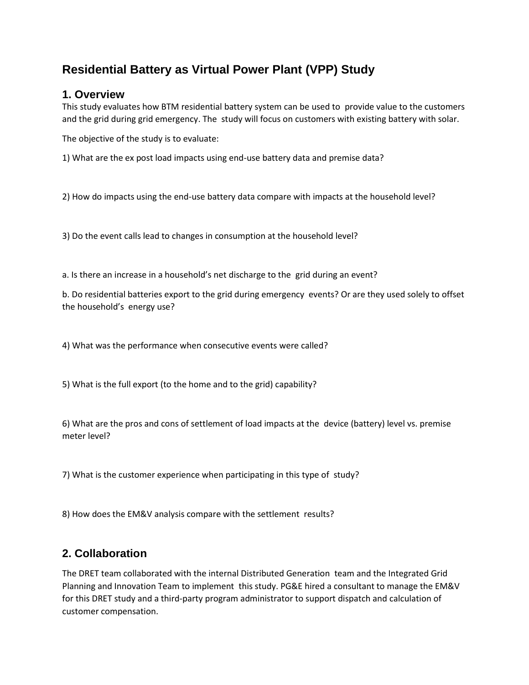# **Residential Battery as Virtual Power Plant (VPP) Study**

#### **1. Overview**

This study evaluates how BTM residential battery system can be used to provide value to the customers and the grid during grid emergency. The study will focus on customers with existing battery with solar.

The objective of the study is to evaluate:

1) What are the ex post load impacts using end-use battery data and premise data?

2) How do impacts using the end-use battery data compare with impacts at the household level?

3) Do the event calls lead to changes in consumption at the household level?

a. Is there an increase in a household's net discharge to the grid during an event?

b. Do residential batteries export to the grid during emergency events? Or are they used solely to offset the household's energy use?

4) What was the performance when consecutive events were called?

5) What is the full export (to the home and to the grid) capability?

6) What are the pros and cons of settlement of load impacts at the device (battery) level vs. premise meter level?

7) What is the customer experience when participating in this type of study?

8) How does the EM&V analysis compare with the settlement results?

## **2. Collaboration**

The DRET team collaborated with the internal Distributed Generation team and the Integrated Grid Planning and Innovation Team to implement this study. PG&E hired a consultant to manage the EM&V for this DRET study and a third-party program administrator to support dispatch and calculation of customer compensation.